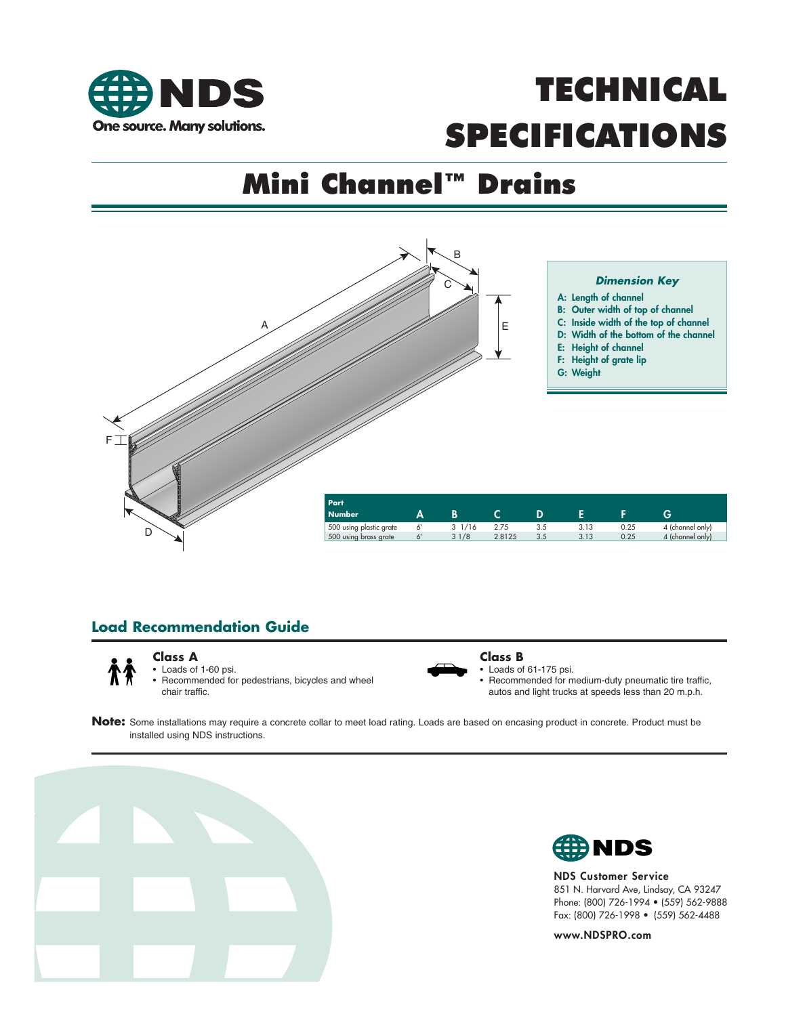

# Mini Channel™ Drains



## **Load Recommendation Guide**



## **Class A**

Loads of 1-60 psi. • Recommended for pedestrians, bicycles and wheel chair traffic.



#### **Class B**

Loads of 61-175 psi.

• Recommended for medium-duty pneumatic tire traffic, autos and light trucks at speeds less than 20 m.p.h.

**Note:** Some installations may require a concrete collar to meet load rating. Loads are based on encasing product in concrete. Product must be installed using NDS instructions.





NDS Customer Service 851 N. Harvard Ave, Lindsay, CA 93247 Phone: (800) 726-1994 • (559) 562-9888 Fax: (800) 726-1998 • (559) 562-4488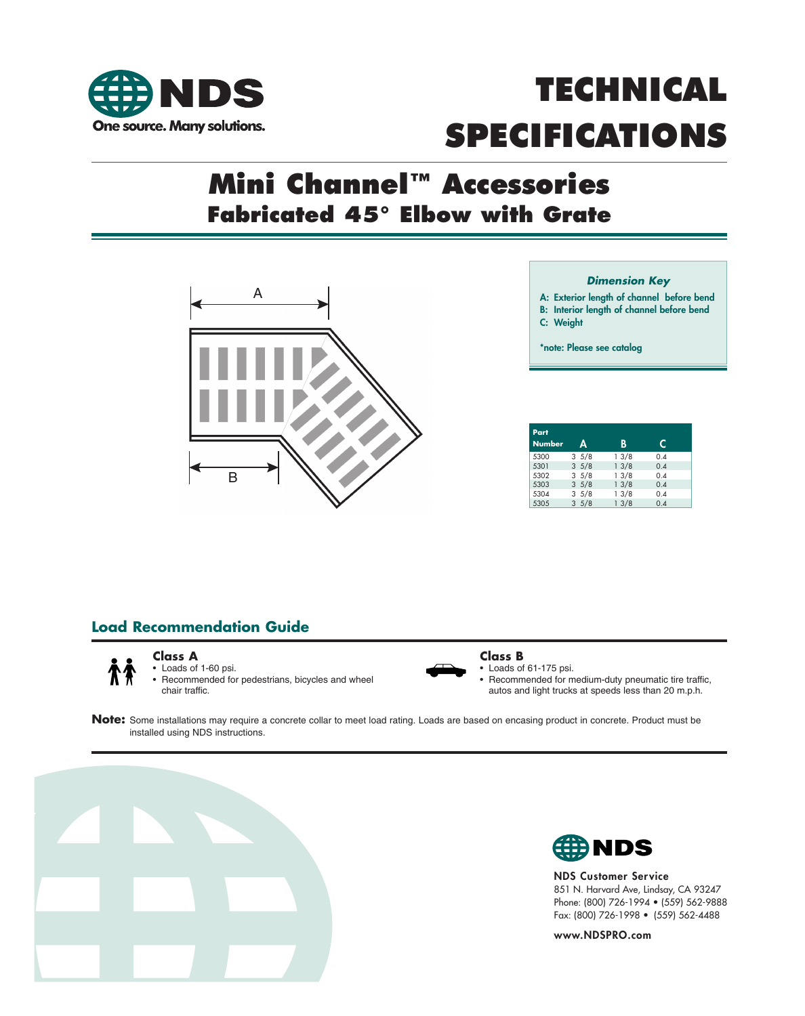

# Mini Channel™ Accessories **Fabricated 45° Elbow with Grate**



#### *Dimension Key*

A: Exterior length of channel before bend

B: Interior length of channel before bend

C: Weight

\*note: Please see catalog

| Part<br><b>Number</b> | A               | B    | C   |  |
|-----------------------|-----------------|------|-----|--|
|                       |                 |      |     |  |
| 5300                  | $3 \frac{5}{8}$ | 13/8 | 0.4 |  |
| 5301                  | 35/8            | 13/8 | 0.4 |  |
| 5302                  | 35/8            | 13/8 | 0.4 |  |
| 5303                  | 35/8            | 13/8 | 0.4 |  |
| 5304                  | 35/8            | 13/8 | 0.4 |  |
| 5305                  | 35/8            | 13/8 | 0.4 |  |

## **Load Recommendation Guide**



#### **Class A**

Loads of 1-60 psi. Recommended for pedestrians, bicycles and wheel chair traffic.



#### **Class B**

• Loads of 61-175 psi. • Recommended for medium-duty pneumatic tire traffic,

autos and light trucks at speeds less than 20 m.p.h.

**Note:** Some installations may require a concrete collar to meet load rating. Loads are based on encasing product in concrete. Product must be installed using NDS instructions.





NDS Customer Service 851 N. Harvard Ave, Lindsay, CA 93247 Phone: (800) 726-1994 • (559) 562-9888 Fax: (800) 726-1998 • (559) 562-4488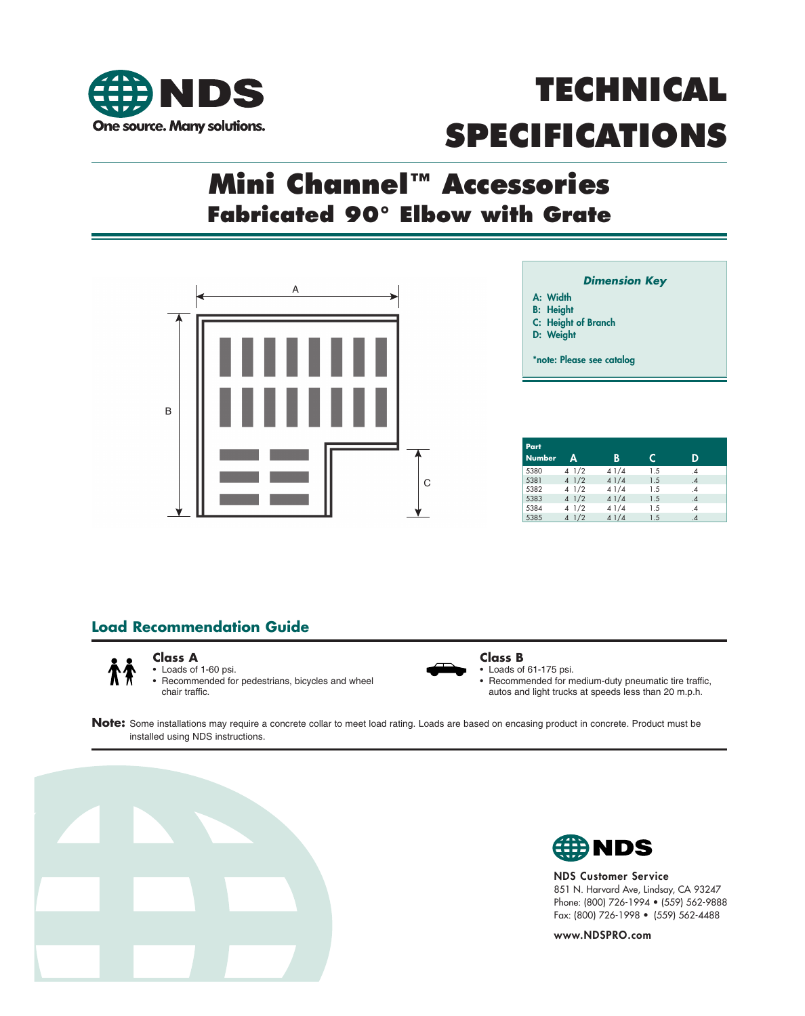

# Mini Channel™ Accessories **Fabricated 90° Elbow with Grate**



- *Dimension Key*
- A: Width
- B: Height
- C: Height of Branch
- D: Weight

\*note: Please see catalog

| Part<br><b>Number</b> | A    | B    | C   | D  |
|-----------------------|------|------|-----|----|
| 5380                  | 41/2 | 41/4 | 1.5 | .4 |
| 5381                  | 41/2 | 41/4 | 1.5 | .4 |
| 5382                  | 41/2 | 41/4 | 1.5 | .4 |
| 5383                  | 41/2 | 41/4 | 1.5 | .4 |
| 5384                  | 41/2 | 41/4 | 1.5 | .4 |
| 5385                  | 41/2 | 41/4 | 1.5 | .4 |

## **Load Recommendation Guide**



#### **Class A** • Loads of 1-60 psi.

• Recommended for pedestrians, bicycles and wheel chair traffic.



#### **Class B**

• Loads of 61-175 psi. • Recommended for medium-duty pneumatic tire traffic, autos and light trucks at speeds less than 20 m.p.h.

**Note:** Some installations may require a concrete collar to meet load rating. Loads are based on encasing product in concrete. Product must be installed using NDS instructions.





NDS Customer Service 851 N. Harvard Ave, Lindsay, CA 93247 Phone: (800) 726-1994 • (559) 562-9888 Fax: (800) 726-1998 • (559) 562-4488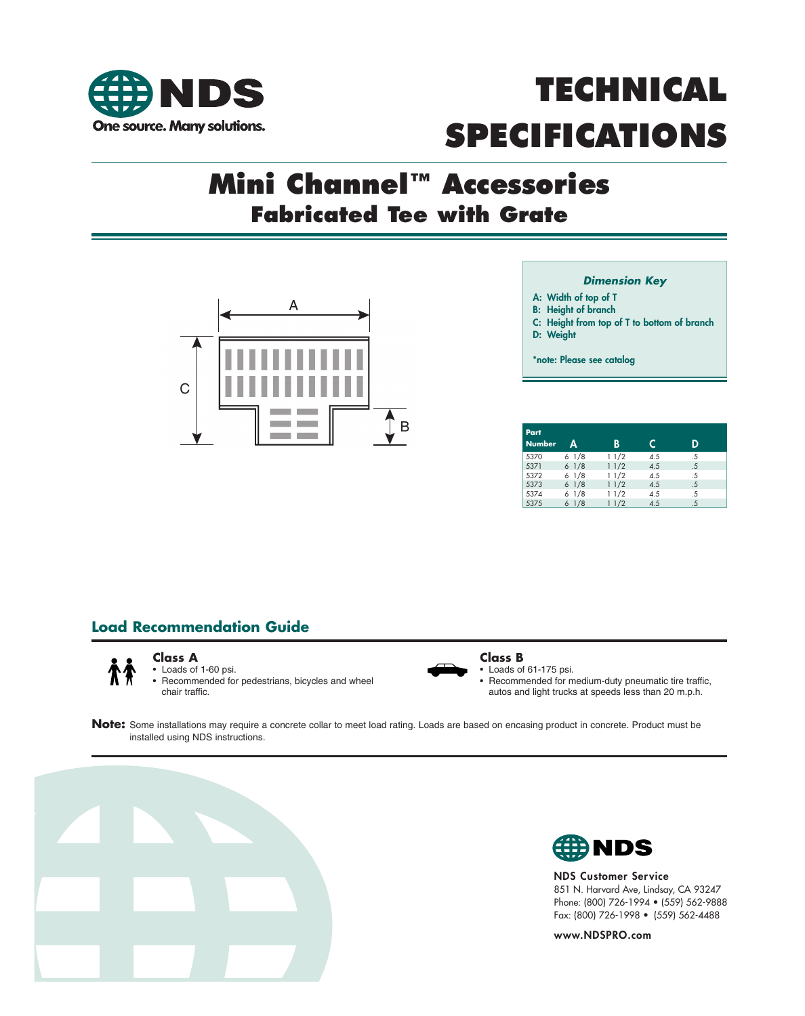



# Mini Channel™ Accessories **Fabricated Tee with Grate**



#### *Dimension Key*

- A: Width of top of T
- B: Height of branch
- C: Height from top of T to bottom of branch
- D: Weight

\*note: Please see catalog

| Part<br><b>Number</b> | Δ              | B    | C   | D  |
|-----------------------|----------------|------|-----|----|
| 5370                  | 61/8           | 11/2 | 4.5 | .5 |
| 5371                  | 61/8           | 11/2 | 4.5 | .5 |
| 5372                  | 61/8           | 11/2 | 4.5 | .5 |
| 5373                  | 61/8           | 11/2 | 4.5 | .5 |
| 5374                  | 61/8           | 11/2 | 4.5 | .5 |
| 5375                  | $6\frac{1}{8}$ | 11/2 | 4.5 | .5 |

### **Load Recommendation Guide**



## **Class A**

• Loads of 1-60 psi. • Recommended for pedestrians, bicycles and wheel chair traffic.



#### **Class B**

• Loads of 61-175 psi. • Recommended for medium-duty pneumatic tire traffic, autos and light trucks at speeds less than 20 m.p.h.

**Note:** Some installations may require a concrete collar to meet load rating. Loads are based on encasing product in concrete. Product must be installed using NDS instructions.





NDS Customer Service 851 N. Harvard Ave, Lindsay, CA 93247 Phone: (800) 726-1994 • (559) 562-9888 Fax: (800) 726-1998 • (559) 562-4488